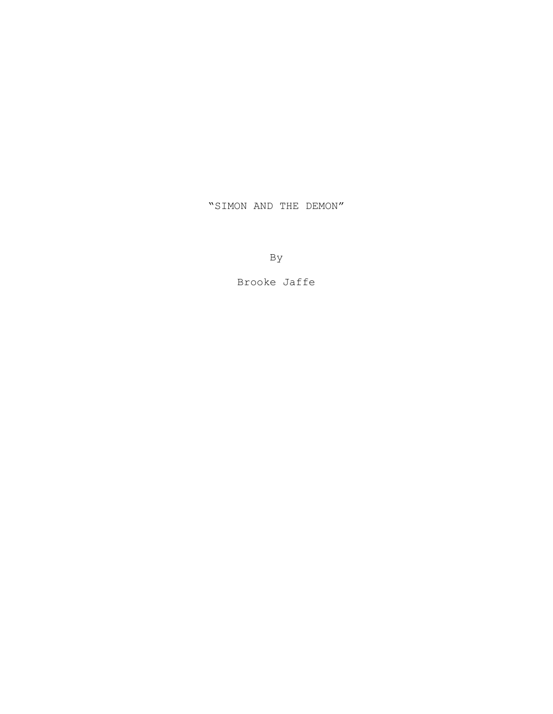"SIMON AND THE DEMON"

By

Brooke Jaffe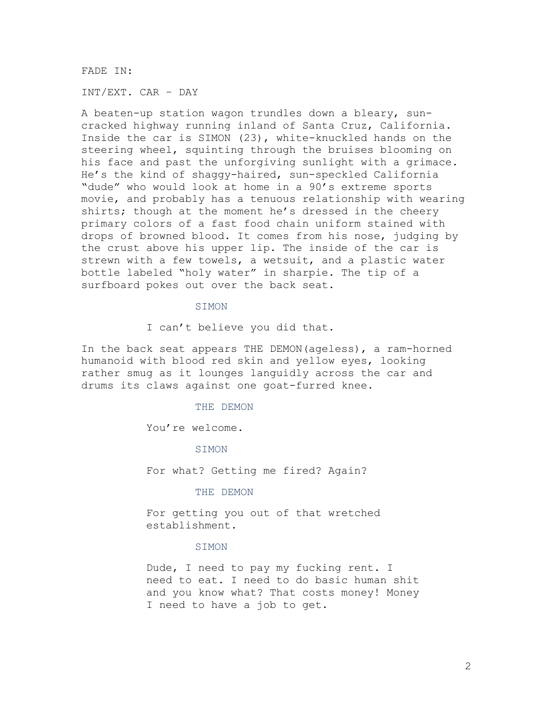FADE IN:

INT/EXT. CAR – DAY

A beaten-up station wagon trundles down a bleary, suncracked highway running inland of Santa Cruz, California. Inside the car is SIMON (23), white-knuckled hands on the steering wheel, squinting through the bruises blooming on his face and past the unforgiving sunlight with a grimace. He's the kind of shaggy-haired, sun-speckled California "dude" who would look at home in a 90's extreme sports movie, and probably has a tenuous relationship with wearing shirts; though at the moment he's dressed in the cheery primary colors of a fast food chain uniform stained with drops of browned blood. It comes from his nose, judging by the crust above his upper lip. The inside of the car is strewn with a few towels, a wetsuit, and a plastic water bottle labeled "holy water" in sharpie. The tip of a surfboard pokes out over the back seat.

#### SIMON

I can't believe you did that.

In the back seat appears THE DEMON(ageless), a ram-horned humanoid with blood red skin and yellow eyes, looking rather smug as it lounges languidly across the car and drums its claws against one goat-furred knee.

## THE DEMON

You're welcome.

#### SIMON

For what? Getting me fired? Again?

#### THE DEMON

For getting you out of that wretched establishment.

## **STMON**

Dude, I need to pay my fucking rent. I need to eat. I need to do basic human shit and you know what? That costs money! Money I need to have a job to get.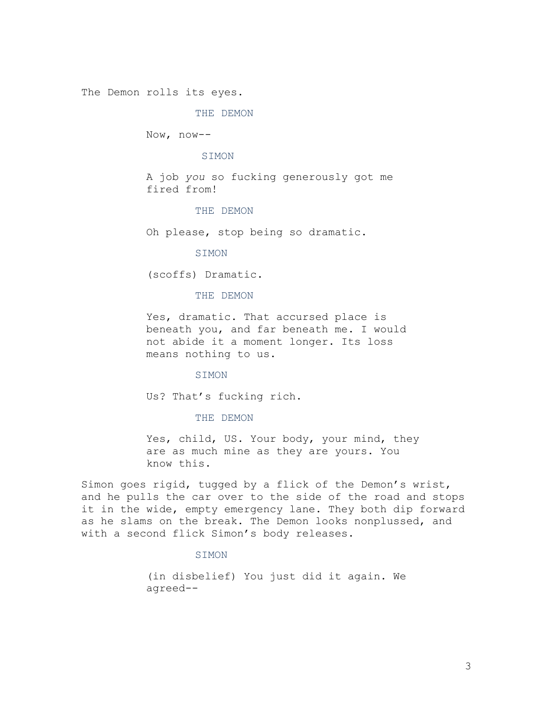The Demon rolls its eyes.

#### THE DEMON

Now, now--

#### **STMON**

A job *you* so fucking generously got me fired from!

### THE DEMON

Oh please, stop being so dramatic.

## SIMON

(scoffs) Dramatic.

#### THE DEMON

Yes, dramatic. That accursed place is beneath you, and far beneath me. I would not abide it a moment longer. Its loss means nothing to us.

#### SIMON

Us? That's fucking rich.

## THE DEMON

Yes, child, US. Your body, your mind, they are as much mine as they are yours. You know this.

Simon goes rigid, tugged by a flick of the Demon's wrist, and he pulls the car over to the side of the road and stops it in the wide, empty emergency lane. They both dip forward as he slams on the break. The Demon looks nonplussed, and with a second flick Simon's body releases.

## SIMON

(in disbelief) You just did it again. We agreed--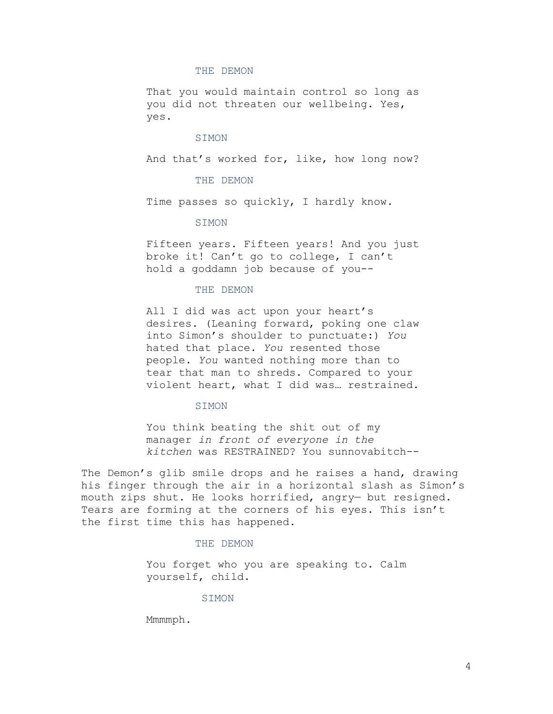#### THE DEMON

That you would maintain control so long as you did not threaten our wellbeing. Yes, yes.

## SIMON

And that's worked for, like, how long now?

## THE DEMON

Time passes so quickly, I hardly know.

## SIMON

Fifteen years. Fifteen years! And you just broke it! Can't go to college, I can't hold a goddamn job because of you--

#### THE DEMON

All I did was act upon your heart's desires. (Leaning forward, poking one claw into Simon's shoulder to punctuate:) *You* hated that place. *You* resented those people. *You* wanted nothing more than to tear that man to shreds. Compared to your violent heart, what I did was… restrained.

#### SIMON

You think beating the shit out of my manager *in front of everyone in the kitchen* was RESTRAINED? You sunnovabitch--

The Demon's glib smile drops and he raises a hand, drawing his finger through the air in a horizontal slash as Simon's mouth zips shut. He looks horrified, angry— but resigned. Tears are forming at the corners of his eyes. This isn't the first time this has happened.

## THE DEMON

You forget who you are speaking to. Calm yourself, child.

## **STMON**

Mmmmph.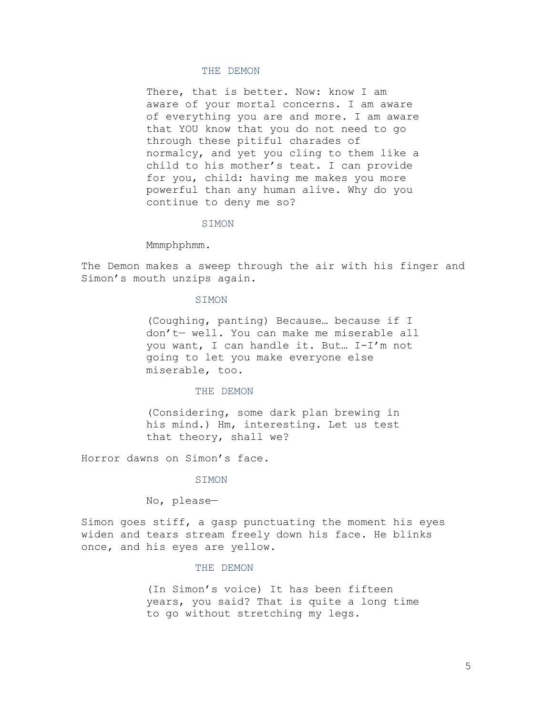## THE DEMON

There, that is better. Now: know I am aware of your mortal concerns. I am aware of everything you are and more. I am aware that YOU know that you do not need to go through these pitiful charades of normalcy, and yet you cling to them like a child to his mother's teat. I can provide for you, child: having me makes you more powerful than any human alive. Why do you continue to deny me so?

#### SIMON

Mmmphphmm.

The Demon makes a sweep through the air with his finger and Simon's mouth unzips again.

## **STMON**

(Coughing, panting) Because… because if I don't— well. You can make me miserable all you want, I can handle it. But… I-I'm not going to let you make everyone else miserable, too.

#### THE DEMON

(Considering, some dark plan brewing in his mind.) Hm, interesting. Let us test that theory, shall we?

Horror dawns on Simon's face.

#### SIMON

No, please—

Simon goes stiff, a gasp punctuating the moment his eyes widen and tears stream freely down his face. He blinks once, and his eyes are yellow.

#### THE DEMON

(In Simon's voice) It has been fifteen years, you said? That is quite a long time to go without stretching my legs.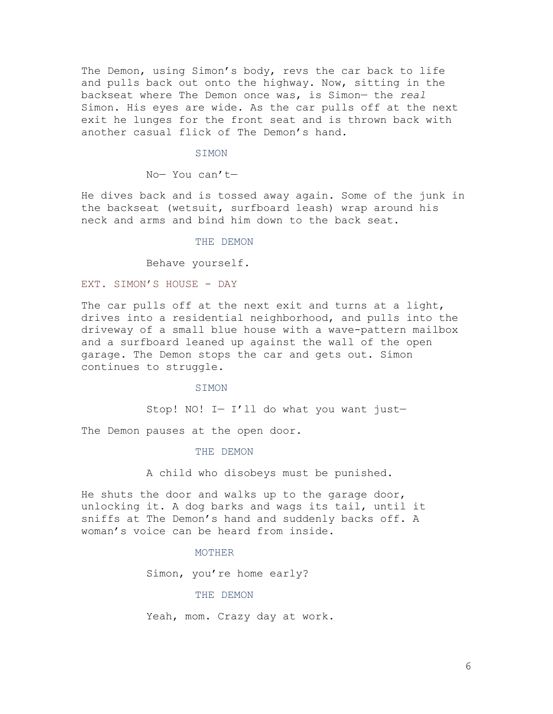The Demon, using Simon's body, revs the car back to life and pulls back out onto the highway. Now, sitting in the backseat where The Demon once was, is Simon— the *real* Simon. His eyes are wide. As the car pulls off at the next exit he lunges for the front seat and is thrown back with another casual flick of The Demon's hand.

#### SIMON

No— You can't—

He dives back and is tossed away again. Some of the junk in the backseat (wetsuit, surfboard leash) wrap around his neck and arms and bind him down to the back seat.

THE DEMON

Behave yourself.

## EXT. SIMON'S HOUSE - DAY

The car pulls off at the next exit and turns at a light, drives into a residential neighborhood, and pulls into the driveway of a small blue house with a wave-pattern mailbox and a surfboard leaned up against the wall of the open garage. The Demon stops the car and gets out. Simon continues to struggle.

SIMON

Stop! NO! I— I'll do what you want just—

The Demon pauses at the open door.

THE DEMON

A child who disobeys must be punished.

He shuts the door and walks up to the garage door, unlocking it. A dog barks and wags its tail, until it sniffs at The Demon's hand and suddenly backs off. A woman's voice can be heard from inside.

## MOTHER

Simon, you're home early?

#### THE DEMON

Yeah, mom. Crazy day at work.